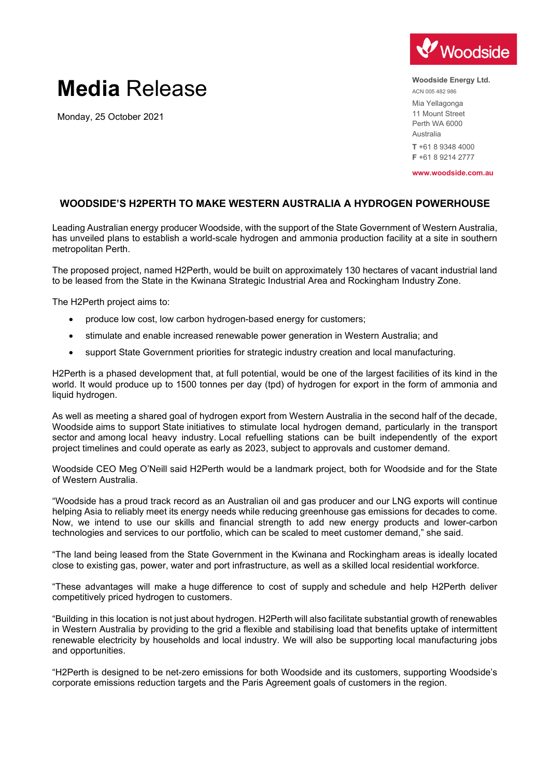

# **Media** Release

Monday, 25 October 2021

**Woodside Energy Ltd.** ACN 005 482 986 Mia Yellagonga 11 Mount Street Perth WA 6000 Australia **T** +61 8 9348 4000 **F** +61 8 9214 2777

**www.woodside.com.au**

## **WOODSIDE'S H2PERTH TO MAKE WESTERN AUSTRALIA A HYDROGEN POWERHOUSE**

Leading Australian energy producer Woodside, with the support of the State Government of Western Australia, has unveiled plans to establish a world-scale hydrogen and ammonia production facility at a site in southern metropolitan Perth.

The proposed project, named H2Perth, would be built on approximately 130 hectares of vacant industrial land to be leased from the State in the Kwinana Strategic Industrial Area and Rockingham Industry Zone.

The H2Perth project aims to:

- produce low cost, low carbon hydrogen-based energy for customers;
- stimulate and enable increased renewable power generation in Western Australia; and
- support State Government priorities for strategic industry creation and local manufacturing.

H2Perth is a phased development that, at full potential, would be one of the largest facilities of its kind in the world. It would produce up to 1500 tonnes per day (tpd) of hydrogen for export in the form of ammonia and liquid hydrogen.

As well as meeting a shared goal of hydrogen export from Western Australia in the second half of the decade, Woodside aims to support State initiatives to stimulate local hydrogen demand, particularly in the transport sector and among local heavy industry. Local refuelling stations can be built independently of the export project timelines and could operate as early as 2023, subject to approvals and customer demand.

Woodside CEO Meg O'Neill said H2Perth would be a landmark project, both for Woodside and for the State of Western Australia.

"Woodside has a proud track record as an Australian oil and gas producer and our LNG exports will continue helping Asia to reliably meet its energy needs while reducing greenhouse gas emissions for decades to come. Now, we intend to use our skills and financial strength to add new energy products and lower-carbon technologies and services to our portfolio, which can be scaled to meet customer demand," she said.

"The land being leased from the State Government in the Kwinana and Rockingham areas is ideally located close to existing gas, power, water and port infrastructure, as well as a skilled local residential workforce.

"These advantages will make a huge difference to cost of supply and schedule and help H2Perth deliver competitively priced hydrogen to customers.

"Building in this location is not just about hydrogen. H2Perth will also facilitate substantial growth of renewables in Western Australia by providing to the grid a flexible and stabilising load that benefits uptake of intermittent renewable electricity by households and local industry. We will also be supporting local manufacturing jobs and opportunities.

"H2Perth is designed to be net-zero emissions for both Woodside and its customers, supporting Woodside's corporate emissions reduction targets and the Paris Agreement goals of customers in the region.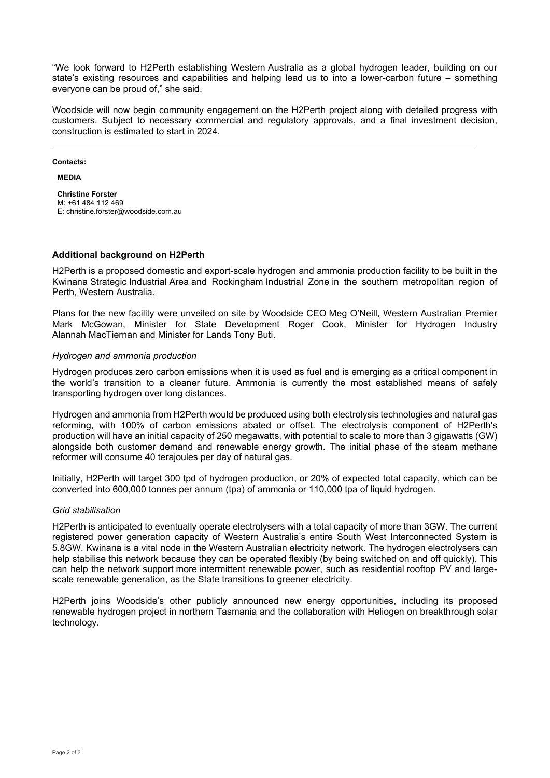"We look forward to H2Perth establishing Western Australia as a global hydrogen leader, building on our state's existing resources and capabilities and helping lead us to into a lower-carbon future – something everyone can be proud of," she said.

Woodside will now begin community engagement on the H2Perth project along with detailed progress with customers. Subject to necessary commercial and regulatory approvals, and a final investment decision, construction is estimated to start in 2024.

**Contacts:**

**MEDIA**

**Christine Forster** M: +61 484 112 469 E: christine.forster@woodside.com.au

### **Additional background on H2Perth**

H2Perth is a proposed domestic and export-scale hydrogen and ammonia production facility to be built in the Kwinana Strategic Industrial Area and Rockingham Industrial Zone in the southern metropolitan region of Perth, Western Australia.

Plans for the new facility were unveiled on site by Woodside CEO Meg O'Neill, Western Australian Premier Mark McGowan, Minister for State Development Roger Cook, Minister for Hydrogen Industry Alannah MacTiernan and Minister for Lands Tony Buti.

### *Hydrogen and ammonia production*

Hydrogen produces zero carbon emissions when it is used as fuel and is emerging as a critical component in the world's transition to a cleaner future. Ammonia is currently the most established means of safely transporting hydrogen over long distances.

Hydrogen and ammonia from H2Perth would be produced using both electrolysis technologies and natural gas reforming, with 100% of carbon emissions abated or offset. The electrolysis component of H2Perth's production will have an initial capacity of 250 megawatts, with potential to scale to more than 3 gigawatts (GW) alongside both customer demand and renewable energy growth. The initial phase of the steam methane reformer will consume 40 terajoules per day of natural gas.

Initially, H2Perth will target 300 tpd of hydrogen production, or 20% of expected total capacity, which can be converted into 600,000 tonnes per annum (tpa) of ammonia or 110,000 tpa of liquid hydrogen.

#### *Grid stabilisation*

H2Perth is anticipated to eventually operate electrolysers with a total capacity of more than 3GW. The current registered power generation capacity of Western Australia's entire South West Interconnected System is 5.8GW. Kwinana is a vital node in the Western Australian electricity network. The hydrogen electrolysers can help stabilise this network because they can be operated flexibly (by being switched on and off quickly). This can help the network support more intermittent renewable power, such as residential rooftop PV and largescale renewable generation, as the State transitions to greener electricity.

H2Perth joins Woodside's other publicly announced new energy opportunities, including its proposed renewable hydrogen project in northern Tasmania and the collaboration with Heliogen on breakthrough solar technology.